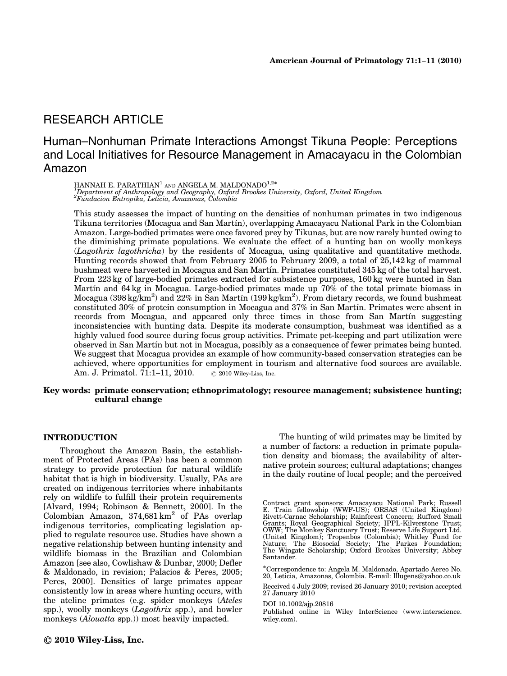# RESEARCH ARTICLE

# Human–Nonhuman Primate Interactions Amongst Tikuna People: Perceptions and Local Initiatives for Resource Management in Amacayacu in the Colombian Amazon

 $\rm HANNAH$ E. PARATHIAN $\rm ^1$  and ANGELA M. MALDONADO  $\rm ^{1,2+}$ 

<del>.</del><br>Department of Anthropology and Geography, Oxford Brookes University, Oxford, United Kingdom<br><sup>2</sup>Fundacion Entropika, Leticia, Amazonas, Colombia

This study assesses the impact of hunting on the densities of nonhuman primates in two indigenous Tikuna territories (Mocagua and San Martín), overlapping Amacayacu National Park in the Colombian Amazon. Large-bodied primates were once favored prey by Tikunas, but are now rarely hunted owing to the diminishing primate populations. We evaluate the effect of a hunting ban on woolly monkeys (Lagothrix lagothricha) by the residents of Mocagua, using qualitative and quantitative methods. Hunting records showed that from February 2005 to February 2009, a total of 25,142 kg of mammal bushmeat were harvested in Mocagua and San Martı´n. Primates constituted 345 kg of the total harvest. From 223 kg of large-bodied primates extracted for subsistence purposes, 160 kg were hunted in San Martín and  $64 \text{ kg}$  in Mocagua. Large-bodied primates made up  $70\%$  of the total primate biomass in Mocagua (398 kg/km<sup>2</sup>) and 22% in San Martín (199 kg/km<sup>2</sup>). From dietary records, we found bushmeat constituted  $30\%$  of protein consumption in Mocagua and  $37\%$  in San Martín. Primates were absent in records from Mocagua, and appeared only three times in those from San Martín suggesting inconsistencies with hunting data. Despite its moderate consumption, bushmeat was identified as a highly valued food source during focus group activities. Primate pet-keeping and part utilization were observed in San Martín but not in Mocagua, possibly as a consequence of fewer primates being hunted. We suggest that Mocagua provides an example of how community-based conservation strategies can be achieved, where opportunities for employment in tourism and alternative food sources are available. Am. J. Primatol. 71:1-11, 2010. © 2010 Wiley-Liss, Inc.

#### Key words: primate conservation; ethnoprimatology; resource management; subsistence hunting; cultural change

## INTRODUCTION

Throughout the Amazon Basin, the establishment of Protected Areas (PAs) has been a common strategy to provide protection for natural wildlife habitat that is high in biodiversity. Usually, PAs are created on indigenous territories where inhabitants rely on wildlife to fulfill their protein requirements [Alvard, 1994; Robinson & Bennett, 2000]. In the Colombian Amazon,  $374,681 \text{ km}^2$  of PAs overlap indigenous territories, complicating legislation applied to regulate resource use. Studies have shown a negative relationship between hunting intensity and wildlife biomass in the Brazilian and Colombian Amazon [see also, Cowlishaw & Dunbar, 2000; Defler & Maldonado, in revision; Palacios & Peres, 2005; Peres, 2000]. Densities of large primates appear consistently low in areas where hunting occurs, with the ateline primates (e.g. spider monkeys (Ateles spp.), woolly monkeys (Lagothrix spp.), and howler monkeys (*Alouatta* spp.)) most heavily impacted.

The hunting of wild primates may be limited by a number of factors: a reduction in primate population density and biomass; the availability of alternative protein sources; cultural adaptations; changes in the daily routine of local people; and the perceived

Contract grant sponsors: Amacayacu National Park; Russell E. Train fellowship (WWF-US); ORSAS (United Kingdom)<br>Rivett-Carnac Scholarship; Rainforest Concern; Rufford Small<br>Grants; Royal Geographical Society; IPPL-Kilverstone Trust;<br>OWW; The Monkey Sanctuary Trust; Reserve Life Su (United Kingdom); Tropenbos (Colombia); Whitley Fund for Nature; The Biosocial Society; The Parkes Foundation; The Wingate Scholarship; Oxford Brookes University; Abbey Santander.

Received 4 July 2009; revised 26 January 2010; revision accepted 27 January 2010 -Correspondence to: Angela M. Maldonado, Apartado Aereo No. 20, Leticia, Amazonas, Colombia. E-mail: lllugens@yahoo.co.uk

DOI 10.1002/ajp.20816

Published online in Wiley InterScience (www.interscience. wiley.com).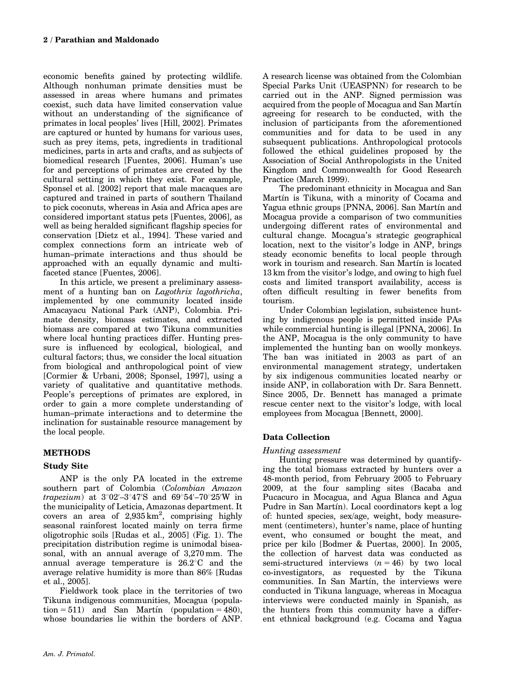economic benefits gained by protecting wildlife. Although nonhuman primate densities must be assessed in areas where humans and primates coexist, such data have limited conservation value without an understanding of the significance of primates in local peoples' lives [Hill, 2002]. Primates are captured or hunted by humans for various uses, such as prey items, pets, ingredients in traditional medicines, parts in arts and crafts, and as subjects of biomedical research [Fuentes, 2006]. Human's use for and perceptions of primates are created by the cultural setting in which they exist. For example, Sponsel et al. [2002] report that male macaques are captured and trained in parts of southern Thailand to pick coconuts, whereas in Asia and Africa apes are considered important status pets [Fuentes, 2006], as well as being heralded significant flagship species for conservation [Dietz et al., 1994]. These varied and complex connections form an intricate web of human–primate interactions and thus should be approached with an equally dynamic and multifaceted stance [Fuentes, 2006].

In this article, we present a preliminary assessment of a hunting ban on Lagothrix lagothricha, implemented by one community located inside Amacayacu National Park (ANP), Colombia. Primate density, biomass estimates, and extracted biomass are compared at two Tikuna communities where local hunting practices differ. Hunting pressure is influenced by ecological, biological, and cultural factors; thus, we consider the local situation from biological and anthropological point of view [Cormier & Urbani, 2008; Sponsel, 1997], using a variety of qualitative and quantitative methods. People's perceptions of primates are explored, in order to gain a more complete understanding of human–primate interactions and to determine the inclination for sustainable resource management by the local people.

## METHODS

## Study Site

ANP is the only PA located in the extreme southern part of Colombia (Colombian Amazon trapezium) at  $3^{\circ}02' - 3^{\circ}47'$ S and  $69^{\circ}54' - 70^{\circ}25'$ W in the municipality of Leticia, Amazonas department. It covers an area of  $2,935 \text{ km}^2$ , comprising highly seasonal rainforest located mainly on terra firme oligotrophic soils [Rudas et al., 2005] (Fig. 1). The precipitation distribution regime is unimodal biseasonal, with an annual average of 3,270 mm. The annual average temperature is  $26.2^{\circ}$ C and the average relative humidity is more than 86% [Rudas et al., 2005].

Fieldwork took place in the territories of two Tikuna indigenous communities, Mocagua (popula- $\text{tion} = 511$ ) and San Martin (population = 480), whose boundaries lie within the borders of ANP.

A research license was obtained from the Colombian Special Parks Unit (UEASPNN) for research to be carried out in the ANP. Signed permission was acquired from the people of Mocagua and San Martín agreeing for research to be conducted, with the inclusion of participants from the aforementioned communities and for data to be used in any subsequent publications. Anthropological protocols followed the ethical guidelines proposed by the Association of Social Anthropologists in the United Kingdom and Commonwealth for Good Research Practice (March 1999).

The predominant ethnicity in Mocagua and San Martín is Tikuna, with a minority of Cocama and Yagua ethnic groups [PNNA, 2006]. San Martín and Mocagua provide a comparison of two communities undergoing different rates of environmental and cultural change. Mocagua's strategic geographical location, next to the visitor's lodge in ANP, brings steady economic benefits to local people through work in tourism and research. San Martín is located 13 km from the visitor's lodge, and owing to high fuel costs and limited transport availability, access is often difficult resulting in fewer benefits from tourism.

Under Colombian legislation, subsistence hunting by indigenous people is permitted inside PAs while commercial hunting is illegal [PNNA, 2006]. In the ANP, Mocagua is the only community to have implemented the hunting ban on woolly monkeys. The ban was initiated in 2003 as part of an environmental management strategy, undertaken by six indigenous communities located nearby or inside ANP, in collaboration with Dr. Sara Bennett. Since 2005, Dr. Bennett has managed a primate rescue center next to the visitor's lodge, with local employees from Mocagua [Bennett, 2000].

## Data Collection

#### Hunting assessment

Hunting pressure was determined by quantifying the total biomass extracted by hunters over a 48-month period, from February 2005 to February 2009, at the four sampling sites (Bacaba and Pucacuro in Mocagua, and Agua Blanca and Agua Pudre in San Martín). Local coordinators kept a log of: hunted species, sex/age, weight, body measurement (centimeters), hunter's name, place of hunting event, who consumed or bought the meat, and price per kilo [Bodmer & Puertas, 2000]. In 2005, the collection of harvest data was conducted as semi-structured interviews  $(n = 46)$  by two local co-investigators, as requested by the Tikuna communities. In San Martín, the interviews were conducted in Tikuna language, whereas in Mocagua interviews were conducted mainly in Spanish, as the hunters from this community have a different ethnical background (e.g. Cocama and Yagua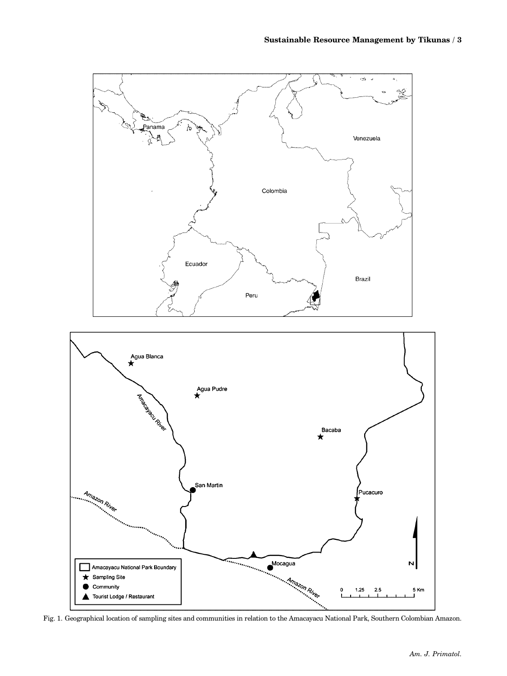

Fig. 1. Geographical location of sampling sites and communities in relation to the Amacayacu National Park, Southern Colombian Amazon.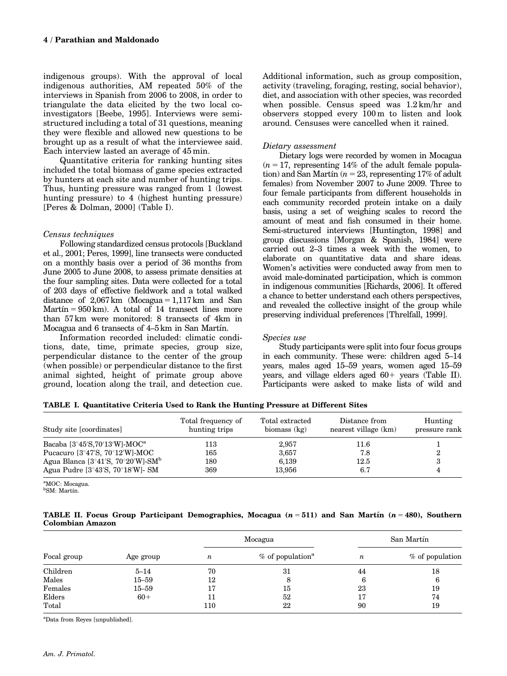indigenous groups). With the approval of local indigenous authorities, AM repeated 50% of the interviews in Spanish from 2006 to 2008, in order to triangulate the data elicited by the two local coinvestigators [Beebe, 1995]. Interviews were semistructured including a total of 31 questions, meaning they were flexible and allowed new questions to be brought up as a result of what the interviewee said. Each interview lasted an average of 45 min.

Quantitative criteria for ranking hunting sites included the total biomass of game species extracted by hunters at each site and number of hunting trips. Thus, hunting pressure was ranged from 1 (lowest hunting pressure) to 4 (highest hunting pressure) [Peres & Dolman, 2000] (Table I).

#### Census techniques

Following standardized census protocols [Buckland et al., 2001; Peres, 1999], line transects were conducted on a monthly basis over a period of 36 months from June 2005 to June 2008, to assess primate densities at the four sampling sites. Data were collected for a total of 203 days of effective fieldwork and a total walked distance of  $2,067 \text{ km}$  (Mocagua = 1,117 km and San  $Martin = 950 \text{ km}$ . A total of 14 transect lines more than 57 km were monitored: 8 transects of 4km in Mocagua and 6 transects of 4–5 km in San Martín.

Information recorded included: climatic conditions, date, time, primate species, group size, perpendicular distance to the center of the group (when possible) or perpendicular distance to the first animal sighted, height of primate group above ground, location along the trail, and detection cue. Additional information, such as group composition, activity (traveling, foraging, resting, social behavior), diet, and association with other species, was recorded when possible. Census speed was 1.2 km/hr and observers stopped every 100 m to listen and look around. Censuses were cancelled when it rained.

### Dietary assessment

Dietary logs were recorded by women in Mocagua  $(n = 17$ , representing 14% of the adult female population) and San Martín ( $n = 23$ , representing 17% of adult females) from November 2007 to June 2009. Three to four female participants from different households in each community recorded protein intake on a daily basis, using a set of weighing scales to record the amount of meat and fish consumed in their home. Semi-structured interviews [Huntington, 1998] and group discussions [Morgan & Spanish, 1984] were carried out 2–3 times a week with the women, to elaborate on quantitative data and share ideas. Women's activities were conducted away from men to avoid male-dominated participation, which is common in indigenous communities [Richards, 2006]. It offered a chance to better understand each others perspectives, and revealed the collective insight of the group while preserving individual preferences [Threlfall, 1999].

#### Species use

Study participants were split into four focus groups in each community. These were: children aged 5–14 years, males aged 15–59 years, women aged 15–59 years, and village elders aged  $60+$  years (Table II). Participants were asked to make lists of wild and

TABLE I. Quantitative Criteria Used to Rank the Hunting Pressure at Different Sites

| Study site [coordinates]                                                           | Total frequency of<br>hunting trips | Total extracted<br>biomass (kg) | Distance from<br>nearest village (km) | Hunting<br>pressure rank |
|------------------------------------------------------------------------------------|-------------------------------------|---------------------------------|---------------------------------------|--------------------------|
| Bacaba $[3^{\circ}45'$ S, 70'13'W]-MOC <sup>a</sup>                                | 113                                 | 2.957                           | 11.6                                  |                          |
| Pucacuro [3°47'S, 70°12'W]-MOC                                                     | 165                                 | 3,657                           | 7.8                                   |                          |
| Agua Blanca [ $3^{\circ}41^{\prime}$ S, $70^{\circ}20^{\prime}$ W]-SM <sup>b</sup> | 180                                 | 6,139                           | 12.5                                  |                          |
| Agua Pudre $[3^{\circ}43'S, 70^{\circ}18'W]$ - SM                                  | 369                                 | 13,956                          | 6.7                                   |                          |

a MOC: Mocagua. bSM: Martín.

|                         |  | TABLE II. Focus Group Participant Demographics, Mocagua $(n = 511)$ and San Martín $(n = 480)$ , Southern |  |  |  |  |
|-------------------------|--|-----------------------------------------------------------------------------------------------------------|--|--|--|--|
| <b>Colombian Amazon</b> |  |                                                                                                           |  |  |  |  |

|             |           |                  | Mocagua                        |                  | San Martín      |
|-------------|-----------|------------------|--------------------------------|------------------|-----------------|
| Focal group | Age group | $\boldsymbol{n}$ | $%$ of population <sup>a</sup> | $\boldsymbol{n}$ | % of population |
| Children    | $5 - 14$  | 70               | 31                             | 44               | 18              |
| Males       | $15 - 59$ | 12               | 8                              | 6                | 6               |
| Females     | $15 - 59$ | 17               | 15                             | 23               | 19              |
| Elders      | $60+$     | 11               | 52                             | 17               | 74              |
| Total       |           | 110              | 22                             | 90               | 19              |

a Data from Reyes [unpublished].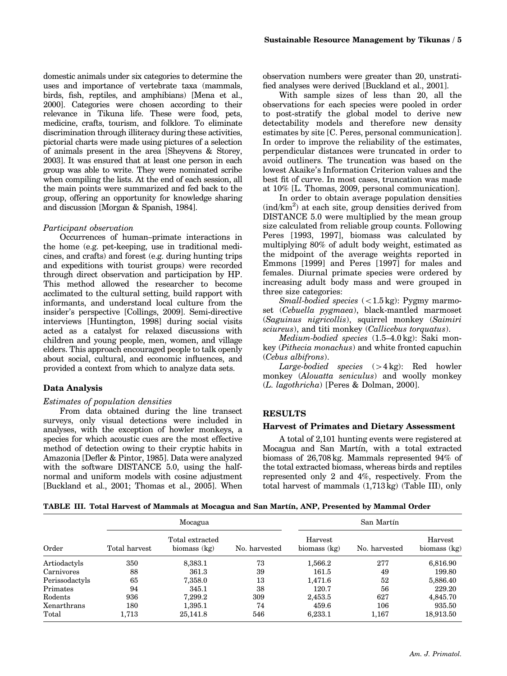domestic animals under six categories to determine the uses and importance of vertebrate taxa (mammals, birds, fish, reptiles, and amphibians) [Mena et al., 2000]. Categories were chosen according to their relevance in Tikuna life. These were food, pets, medicine, crafts, tourism, and folklore. To eliminate discrimination through illiteracy during these activities, pictorial charts were made using pictures of a selection of animals present in the area [Sheyvens & Storey, 2003]. It was ensured that at least one person in each group was able to write. They were nominated scribe when compiling the lists. At the end of each session, all the main points were summarized and fed back to the group, offering an opportunity for knowledge sharing and discussion [Morgan & Spanish, 1984].

#### Participant observation

Occurrences of human–primate interactions in the home (e.g. pet-keeping, use in traditional medicines, and crafts) and forest (e.g. during hunting trips and expeditions with tourist groups) were recorded through direct observation and participation by HP. This method allowed the researcher to become acclimated to the cultural setting, build rapport with informants, and understand local culture from the insider's perspective [Collings, 2009]. Semi-directive interviews [Huntington, 1998] during social visits acted as a catalyst for relaxed discussions with children and young people, men, women, and village elders. This approach encouraged people to talk openly about social, cultural, and economic influences, and provided a context from which to analyze data sets.

#### Data Analysis

#### Estimates of population densities

From data obtained during the line transect surveys, only visual detections were included in analyses, with the exception of howler monkeys, a species for which acoustic cues are the most effective method of detection owing to their cryptic habits in Amazonia [Defler & Pintor, 1985]. Data were analyzed with the software DISTANCE 5.0, using the halfnormal and uniform models with cosine adjustment [Buckland et al., 2001; Thomas et al., 2005]. When observation numbers were greater than 20, unstratified analyses were derived [Buckland et al., 2001].

With sample sizes of less than 20, all the observations for each species were pooled in order to post-stratify the global model to derive new detectability models and therefore new density estimates by site [C. Peres, personal communication]. In order to improve the reliability of the estimates, perpendicular distances were truncated in order to avoid outliners. The truncation was based on the lowest Akaike's Information Criterion values and the best fit of curve. In most cases, truncation was made at 10% [L. Thomas, 2009, personal communication].

In order to obtain average population densities (ind/km<sup>2</sup> ) at each site, group densities derived from DISTANCE 5.0 were multiplied by the mean group size calculated from reliable group counts. Following Peres [1993, 1997], biomass was calculated by multiplying 80% of adult body weight, estimated as the midpoint of the average weights reported in Emmons [1999] and Peres [1997] for males and females. Diurnal primate species were ordered by increasing adult body mass and were grouped in three size categories:

Small-bodied species  $(<1.5 \text{ kg})$ : Pygmy marmoset (Cebuella pygmaea), black-mantled marmoset (Saguinus nigricollis), squirrel monkey (Saimiri sciureus), and titi monkey (Callicebus torquatus).

Medium-bodied species (1.5–4.0 kg): Saki monkey (Pithecia monachus) and white fronted capuchin (Cebus albifrons).

Large-bodied species  $(>4 \text{ kg})$ : Red howler monkey (Alouatta seniculus) and woolly monkey (L. lagothricha) [Peres & Dolman, 2000].

#### RESULTS

#### Harvest of Primates and Dietary Assessment

A total of 2,101 hunting events were registered at Mocagua and San Martín, with a total extracted biomass of 26,708 kg. Mammals represented 94% of the total extracted biomass, whereas birds and reptiles represented only 2 and 4%, respectively. From the total harvest of mammals (1,713 kg) (Table III), only

TABLE III. Total Harvest of Mammals at Mocagua and San Martín, ANP, Presented by Mammal Order

|                    |               | Mocagua                         |               |                         | San Martín    |                           |
|--------------------|---------------|---------------------------------|---------------|-------------------------|---------------|---------------------------|
| Order              | Total harvest | Total extracted<br>biomass (kg) | No. harvested | Harvest<br>biomass (kg) | No. harvested | Harvest<br>biomass $(kg)$ |
| Artiodactyls       | 350           | 8,383.1                         | 73            | 1,566.2                 | 277           | 6,816.90                  |
| Carnivores         | 88            | 361.3                           | 39            | 161.5                   | 49            | 199.80                    |
| Perissodactyls     | 65            | 7,358.0                         | 13            | 1,471.6                 | 52            | 5,886.40                  |
| Primates           | 94            | 345.1                           | 38            | 120.7                   | 56            | 229.20                    |
| Rodents            | 936           | 7,299.2                         | 309           | 2,453.5                 | 627           | 4,845.70                  |
| <b>Xenarthrans</b> | 180           | 1,395.1                         | 74            | 459.6                   | 106           | 935.50                    |
| Total              | 1,713         | 25,141.8                        | 546           | 6,233.1                 | 1,167         | 18,913.50                 |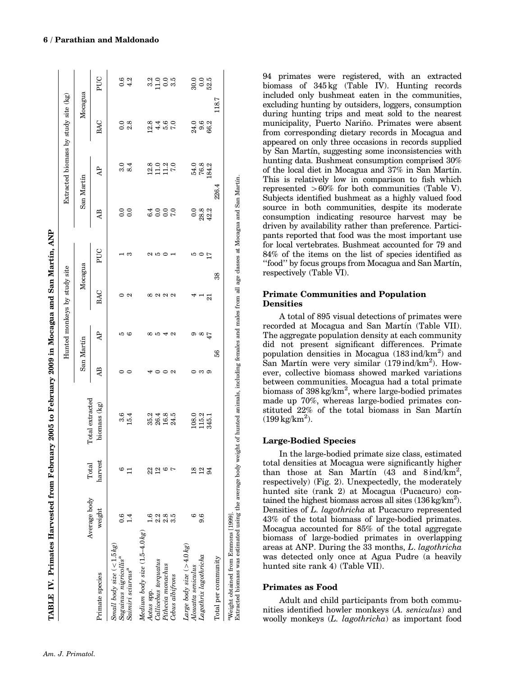| TABLE IV. Primates Harvested from February 2005 to February 2009 in Mocagua and San Martín, ANP |                        |                |                                                       |                   |                |                              |             |                     |                                      |                         |                        |
|-------------------------------------------------------------------------------------------------|------------------------|----------------|-------------------------------------------------------|-------------------|----------------|------------------------------|-------------|---------------------|--------------------------------------|-------------------------|------------------------|
|                                                                                                 |                        |                |                                                       |                   |                | Hunted monkeys by study site |             |                     | Extracted biomass by study site (kg) |                         |                        |
|                                                                                                 |                        | Total          | Total extracted                                       | San Martín        |                |                              | Mocagua     |                     | San Martín                           |                         | Mocagua                |
| Primate species                                                                                 | Average body<br>weight | harvest        | biomass (kg)                                          | Æ                 | $\overline{A}$ | BAC                          | PUC         | AB                  | $\overline{A}$                       | BAC                     | PUC                    |
| $Small$ body size $(<$ 1.5 $kg$ )                                                               |                        |                |                                                       |                   |                |                              |             |                     |                                      |                         |                        |
|                                                                                                 | 0.6                    |                |                                                       |                   | ю              |                              |             |                     | 0.4<br>ಐ.ಎ                           |                         |                        |
| Saguinus nigricollis <sup>a</sup><br>Saimiri sciureus <sup>a</sup>                              | $\overline{4}$         |                | 3.4<br>15.4                                           |                   | అ              | $\mathbf{\Omega}$            | ၊ က         | $\frac{0}{0}$       |                                      | 0.8                     | $0.6$<br>4.2           |
| Medium body size (1.5-4.0kg)                                                                    |                        |                |                                                       |                   |                |                              |             |                     |                                      |                         |                        |
|                                                                                                 | ڢ                      | ଅ              |                                                       |                   | ∞              | ∞                            |             |                     |                                      | 12.8                    | 3.2                    |
| Aotus spp.<br>Callicebus torquatus                                                              |                        | ≌              | 2<br>22 32 32<br>23 32 32                             |                   | F.             |                              | ິດ ກ        | 000<br>4000<br>4000 | $23.0$<br>$21.2$<br>$7.0$            | $4.6$<br>$7.0$<br>$7.0$ |                        |
| Pithecia monachus                                                                               |                        |                |                                                       | っ                 | 4              | $\alpha$ $\alpha$ $\alpha$   |             |                     |                                      |                         |                        |
| Cebus albifrons                                                                                 |                        |                |                                                       | $\mathbf{\Omega}$ | Z              |                              | $\mathbf r$ |                     |                                      |                         |                        |
| Large body size ( $>4.0$ kg)                                                                    |                        |                |                                                       |                   |                |                              |             |                     |                                      |                         |                        |
| Alouatta seniculus                                                                              |                        | $\frac{8}{1}$  |                                                       |                   | ග              | ↤                            | S           | 0.0                 |                                      |                         |                        |
| Lagothrix lagothricha                                                                           | 9.6                    | $\frac{2}{1}$  | $\begin{array}{c} 108.0 \\ 15.2 \\ 345.1 \end{array}$ | က တ               | $\infty$       |                              |             | 28.8<br>42.2        | 54.0<br>76.3<br>184.2                | ಂ ಅ. ಇ<br>ನ ೧ ಅ         | 0.0 ឆ្នាំ<br>១.0 ឆ្នាំ |
|                                                                                                 |                        | $\mathfrak{B}$ |                                                       |                   | 47             | ಷ                            | $\Xi$       |                     |                                      |                         |                        |
| Total per community                                                                             |                        |                |                                                       | 56                |                |                              | 38          |                     | 226.4                                |                         | 118.7                  |
| "Weight obtained from Emmons [1999].                                                            |                        |                |                                                       |                   |                |                              |             |                     |                                      |                         |                        |

94 primates were registered, with an extracted biomass of 345 kg (Table IV). Hunting records included only bushmeat eaten in the communities, excluding hunting by outsiders, loggers, consumption during hunting trips and meat sold to the nearest municipality, Puerto Nariño. Primates were absent from corresponding dietary records in Mocagua and appeared on only three occasions in records supplied by San Martín, suggesting some inconsistencies with hunting data. Bushmeat consumption comprised 30% of the local diet in Mocagua and 37% in San Martín. This is relatively low in comparison to fish which represented  $>60\%$  for both communities (Table V). Subjects identified bushmeat as a highly valued food source in both communities, despite its moderate consumption indicating resource harvest may be driven by availability rather than preference. Participants reported that food was the most important use for local vertebrates. Bushmeat accounted for 79 and 84% of the items on the list of species identified as "food" by focus groups from Mocagua and San Martín, respectively (Table VI).

## Primate Communities and Population **Densities**

A total of 895 visual detections of primates were recorded at Mocagua and San Martín (Table VII). The aggregate population density at each community did not present significant differences. Primate population densities in Mocagua  $(183 \text{ ind/km}^2)$  and San Martín were very similar  $(179 \text{ ind/km}^2)$ . However, collective biomass showed marked variations between communities. Mocagua had a total primate biomass of 398 kg/km<sup>2</sup>, where large-bodied primates made up 70%, whereas large-bodied primates constituted  $22\%$  of the total biomass in San Martin  $(199 \,\text{kg}/\text{km}^2)$ .

#### Large-Bodied Species

Extracted biomass was estimated using the average body weight of hunted animals, including females and males from all age classes at Mocagua and San Martı´n.

using the average body weight of hunted animals, including females and males

estimated

Extracted biomass was

from all age classes at Mocagua and San Martín

In the large-bodied primate size class, estimated total densities at Mocagua were significantly higher than those at San Martín  $(43 \text{ and } 8 \text{ ind/km}^2)$ , respectively) (Fig. 2). Unexpectedly, the moderately hunted site (rank 2) at Mocagua (Pucacuro) contained the highest biomass across all sites (136 kg/km<sup>2</sup>). Densities of L. lagothricha at Pucacuro represented 43% of the total biomass of large-bodied primates. Mocagua accounted for 85% of the total aggregate biomass of large-bodied primates in overlapping areas at ANP. During the 33 months, L. lagothricha was detected only once at Agua Pudre (a heavily hunted site rank 4) (Table VII).

#### Primates as Food

Adult and child participants from both communities identified howler monkeys (A. seniculus) and woolly monkeys (L. lagothricha) as important food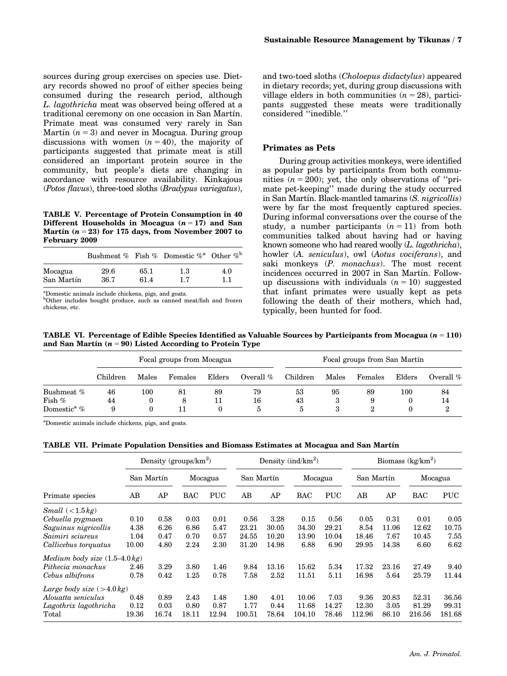sources during group exercises on species use. Dietary records showed no proof of either species being consumed during the research period, although L. lagothricha meat was observed being offered at a traditional ceremony on one occasion in San Martín. Primate meat was consumed very rarely in San Martin  $(n = 3)$  and never in Mocagua. During group discussions with women  $(n = 40)$ , the majority of participants suggested that primate meat is still considered an important protein source in the community, but people's diets are changing in accordance with resource availability. Kinkajous (Potos flavus), three-toed sloths (Bradypus variegatus),

TABLE V. Percentage of Protein Consumption in 40 Different Households in Mocagua  $(n = 17)$  and San Martin  $(n = 23)$  for 175 days, from November 2007 to February 2009

|            |      |      | Bushmeat % Fish % Domestic $\%$ <sup>a</sup> Other $\%$ <sup>b</sup> |     |
|------------|------|------|----------------------------------------------------------------------|-----|
| Mocagua    | 29.6 | 65.1 | 1.3                                                                  | 4.0 |
| San Martín | 36.7 | 61.4 | 1.7                                                                  | 1.1 |

a Domestic animals include chickens, pigs, and goats.

<sup>b</sup>Other includes bought produce, such as canned meat/fish and frozen chickens, etc.

and two-toed sloths (Choloepus didactylus) appeared in dietary records; yet, during group discussions with village elders in both communities  $(n = 28)$ , participants suggested these meats were traditionally considered ''inedible.''

#### Primates as Pets

During group activities monkeys, were identified as popular pets by participants from both communities  $(n = 200)$ ; yet, the only observations of "primate pet-keeping'' made during the study occurred in San Martín. Black-mantled tamarins (S. nigricollis) were by far the most frequently captured species. During informal conversations over the course of the study, a number participants  $(n = 11)$  from both communities talked about having had or having known someone who had reared woolly (L. lagothricha), howler (A. seniculus), owl (Aotus vociferans), and saki monkeys  $(P.$  monachus). The most recent incidences occurred in 2007 in San Martín. Followup discussions with individuals  $(n = 10)$  suggested that infant primates were usually kept as pets following the death of their mothers, which had, typically, been hunted for food.

TABLE VI. Percentage of Edible Species Identified as Valuable Sources by Participants from Mocagua  $(n = 110)$ and San Martin  $(n = 90)$  Listed According to Protein Type

|                            |                 |          | Focal groups from Mocagua |        |             |          |       | Focal groups from San Martín |         |              |
|----------------------------|-----------------|----------|---------------------------|--------|-------------|----------|-------|------------------------------|---------|--------------|
|                            | <b>Children</b> | Males    | Females                   | Elders | Overall $%$ | Children | Males | Females                      | Elders  | Overall $\%$ |
| Bushmeat %                 | 46              | $100\,$  | 81                        | 89     | 79          | 53       | 95    | 89                           | $100\,$ | 84           |
| Fish $%$                   | 44              | $\theta$ | 8                         |        | 16          | 43       | 3     | 9                            |         | 14           |
| Domestic <sup>a</sup> $\%$ | 9               |          |                           |        | Ð           | 5        |       |                              |         |              |

a Domestic animals include chickens, pigs, and goats.

|                                         |       | Density (groups/ $km^2$ ) |       |            | Density $(\text{ind}/\text{km}^2)$ |       |            |            |            | Biomass $(kg/km^2)$ |            |            |  |
|-----------------------------------------|-------|---------------------------|-------|------------|------------------------------------|-------|------------|------------|------------|---------------------|------------|------------|--|
|                                         |       | San Martín                |       | Mocagua    | San Martín                         |       | Mocagua    |            | San Martín |                     |            | Mocagua    |  |
| Primate species                         | AB    | AP                        | BAC   | <b>PUC</b> | AB                                 | AP    | <b>BAC</b> | <b>PUC</b> | AB         | AP                  | <b>BAC</b> | <b>PUC</b> |  |
| $Small(-1.5kg)$                         |       |                           |       |            |                                    |       |            |            |            |                     |            |            |  |
| Cebuella pygmaea                        | 0.10  | 0.58                      | 0.03  | 0.01       | 0.56                               | 3.28  | 0.15       | 0.56       | 0.05       | 0.31                | 0.01       | 0.05       |  |
| Saguinus nigricollis                    | 4.38  | 6.26                      | 6.86  | 5.47       | 23.21                              | 30.05 | 34.30      | 29.21      | 8.54       | 11.06               | 12.62      | 10.75      |  |
| Saimiri sciureus                        | 1.04  | 0.47                      | 0.70  | 0.57       | 24.55                              | 10.20 | 13.90      | 10.04      | 18.46      | 7.67                | 10.45      | 7.55       |  |
| Callicebus torquatus                    | 10.00 | 4.80                      | 2.24  | 2.30       | 31.20                              | 14.98 | 6.88       | 6.90       | 29.95      | 14.38               | 6.60       | 6.62       |  |
| Medium body size $(1.5-4.0 \text{ kg})$ |       |                           |       |            |                                    |       |            |            |            |                     |            |            |  |
| Pithecia monachus                       | 2.46  | 3.29                      | 3.80  | 1.46       | 9.84                               | 13.16 | 15.62      | 5.34       | 17.32      | 23.16               | 27.49      | 9.40       |  |
| Cebus albifrons                         | 0.78  | 0.42                      | 1.25  | 0.78       | 7.58                               | 2.52  | 11.51      | 5.11       | 16.98      | 5.64                | 25.79      | 11.44      |  |
| Large body size $(>4.0 \, kg)$          |       |                           |       |            |                                    |       |            |            |            |                     |            |            |  |
| Alouatta seniculus                      | 0.48  | 0.89                      | 2.43  | 1.48       | 1.80                               | 4.01  | 10.06      | 7.03       | 9.36       | 20.83               | 52.31      | 36.56      |  |
| Lagothrix lagothricha                   | 0.12  | 0.03                      | 0.80  | 0.87       | 1.77                               | 0.44  | 11.68      | 14.27      | 12.30      | 3.05                | 81.29      | 99.31      |  |
| Total                                   | 19.36 | 16.74                     | 18.11 | 12.94      | $100.51\,$                         | 78.64 | 104.10     | 78.46      | 112.96     | 86.10               | 216.56     | 181.68     |  |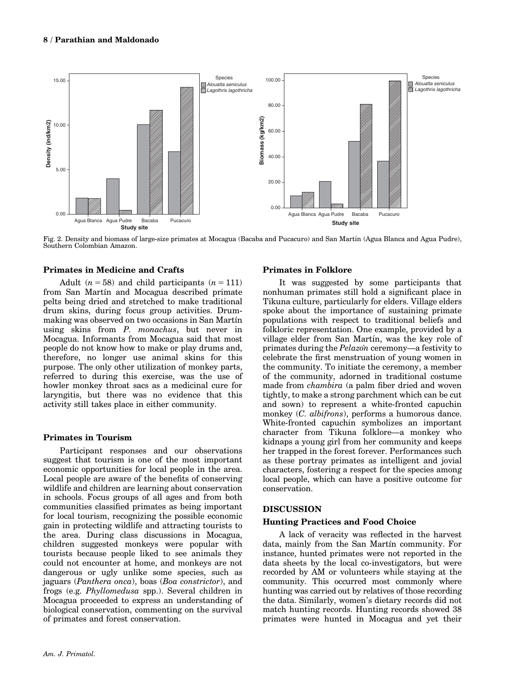

Fig. 2. Density and biomass of large-size primates at Mocagua (Bacaba and Pucacuro) and San Martı´n (Agua Blanca and Agua Pudre), Southern Colombian Amazon.

## Primates in Medicine and Crafts

Adult  $(n = 58)$  and child participants  $(n = 111)$ from San Martín and Mocagua described primate pelts being dried and stretched to make traditional drum skins, during focus group activities. Drummaking was observed on two occasions in San Martín using skins from P. monachus, but never in Mocagua. Informants from Mocagua said that most people do not know how to make or play drums and, therefore, no longer use animal skins for this purpose. The only other utilization of monkey parts, referred to during this exercise, was the use of howler monkey throat sacs as a medicinal cure for laryngitis, but there was no evidence that this activity still takes place in either community.

#### Primates in Tourism

Participant responses and our observations suggest that tourism is one of the most important economic opportunities for local people in the area. Local people are aware of the benefits of conserving wildlife and children are learning about conservation in schools. Focus groups of all ages and from both communities classified primates as being important for local tourism, recognizing the possible economic gain in protecting wildlife and attracting tourists to the area. During class discussions in Mocagua, children suggested monkeys were popular with tourists because people liked to see animals they could not encounter at home, and monkeys are not dangerous or ugly unlike some species, such as jaguars (Panthera onca), boas (Boa constrictor), and frogs (e.g. Phyllomedusa spp.). Several children in Mocagua proceeded to express an understanding of biological conservation, commenting on the survival of primates and forest conservation.

## Primates in Folklore

It was suggested by some participants that nonhuman primates still hold a significant place in Tikuna culture, particularly for elders. Village elders spoke about the importance of sustaining primate populations with respect to traditional beliefs and folkloric representation. One example, provided by a village elder from San Martín, was the key role of primates during the *Pelazon* ceremony—a festivity to celebrate the first menstruation of young women in the community. To initiate the ceremony, a member of the community, adorned in traditional costume made from chambira (a palm fiber dried and woven tightly, to make a strong parchment which can be cut and sown) to represent a white-fronted capuchin monkey (*C. albifrons*), performs a humorous dance. White-fronted capuchin symbolizes an important character from Tikuna folklore—a monkey who kidnaps a young girl from her community and keeps her trapped in the forest forever. Performances such as these portray primates as intelligent and jovial characters, fostering a respect for the species among local people, which can have a positive outcome for conservation.

## DISCUSSION

#### Hunting Practices and Food Choice

A lack of veracity was reflected in the harvest data, mainly from the San Martín community. For instance, hunted primates were not reported in the data sheets by the local co-investigators, but were recorded by AM or volunteers while staying at the community. This occurred most commonly where hunting was carried out by relatives of those recording the data. Similarly, women's dietary records did not match hunting records. Hunting records showed 38 primates were hunted in Mocagua and yet their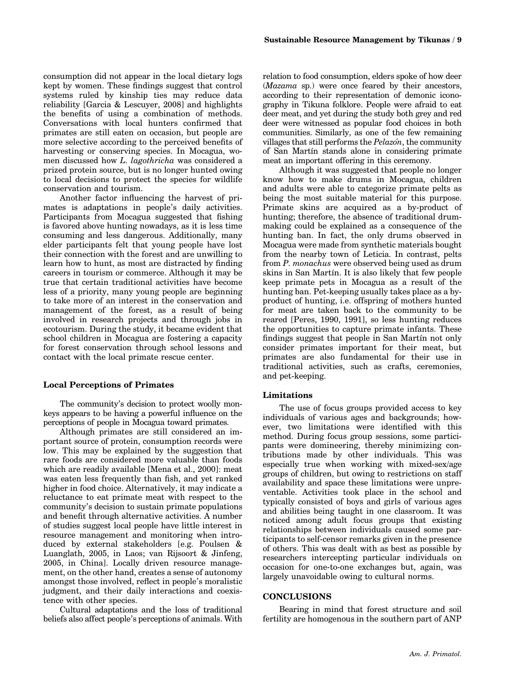consumption did not appear in the local dietary logs kept by women. These findings suggest that control systems ruled by kinship ties may reduce data reliability [Garcia & Lescuyer, 2008] and highlights the benefits of using a combination of methods. Conversations with local hunters confirmed that primates are still eaten on occasion, but people are more selective according to the perceived benefits of harvesting or conserving species. In Mocagua, women discussed how L. lagothricha was considered a prized protein source, but is no longer hunted owing to local decisions to protect the species for wildlife conservation and tourism.

Another factor influencing the harvest of primates is adaptations in people's daily activities. Participants from Mocagua suggested that fishing is favored above hunting nowadays, as it is less time consuming and less dangerous. Additionally, many elder participants felt that young people have lost their connection with the forest and are unwilling to learn how to hunt, as most are distracted by finding careers in tourism or commerce. Although it may be true that certain traditional activities have become less of a priority, many young people are beginning to take more of an interest in the conservation and management of the forest, as a result of being involved in research projects and through jobs in ecotourism. During the study, it became evident that school children in Mocagua are fostering a capacity for forest conservation through school lessons and contact with the local primate rescue center.

#### Local Perceptions of Primates

The community's decision to protect woolly monkeys appears to be having a powerful influence on the perceptions of people in Mocagua toward primates.

Although primates are still considered an important source of protein, consumption records were low. This may be explained by the suggestion that rare foods are considered more valuable than foods which are readily available [Mena et al., 2000]: meat was eaten less frequently than fish, and yet ranked higher in food choice. Alternatively, it may indicate a reluctance to eat primate meat with respect to the community's decision to sustain primate populations and benefit through alternative activities. A number of studies suggest local people have little interest in resource management and monitoring when introduced by external stakeholders [e.g. Poulsen & Luanglath, 2005, in Laos; van Rijsoort & Jinfeng, 2005, in China]. Locally driven resource management, on the other hand, creates a sense of autonomy amongst those involved, reflect in people's moralistic judgment, and their daily interactions and coexistence with other species.

Cultural adaptations and the loss of traditional beliefs also affect people's perceptions of animals. With

relation to food consumption, elders spoke of how deer (Mazama sp.) were once feared by their ancestors, according to their representation of demonic iconography in Tikuna folklore. People were afraid to eat deer meat, and yet during the study both grey and red deer were witnessed as popular food choices in both communities. Similarly, as one of the few remaining villages that still performs the  $Pelazo'n$ , the community of San Martín stands alone in considering primate meat an important offering in this ceremony.

Although it was suggested that people no longer know how to make drums in Mocagua, children and adults were able to categorize primate pelts as being the most suitable material for this purpose. Primate skins are acquired as a by-product of hunting; therefore, the absence of traditional drummaking could be explained as a consequence of the hunting ban. In fact, the only drums observed in Mocagua were made from synthetic materials bought from the nearby town of Leticia. In contrast, pelts from P. monachus were observed being used as drum skins in San Martín. It is also likely that few people keep primate pets in Mocagua as a result of the hunting ban. Pet-keeping usually takes place as a byproduct of hunting, i.e. offspring of mothers hunted for meat are taken back to the community to be reared [Peres, 1990, 1991], so less hunting reduces the opportunities to capture primate infants. These findings suggest that people in San Martín not only consider primates important for their meat, but primates are also fundamental for their use in traditional activities, such as crafts, ceremonies, and pet-keeping.

#### Limitations

The use of focus groups provided access to key individuals of various ages and backgrounds; however, two limitations were identified with this method. During focus group sessions, some participants were domineering, thereby minimizing contributions made by other individuals. This was especially true when working with mixed-sex/age groups of children, but owing to restrictions on staff availability and space these limitations were unpreventable. Activities took place in the school and typically consisted of boys and girls of various ages and abilities being taught in one classroom. It was noticed among adult focus groups that existing relationships between individuals caused some participants to self-censor remarks given in the presence of others. This was dealt with as best as possible by researchers intercepting particular individuals on occasion for one-to-one exchanges but, again, was largely unavoidable owing to cultural norms.

#### CONCLUSIONS

Bearing in mind that forest structure and soil fertility are homogenous in the southern part of ANP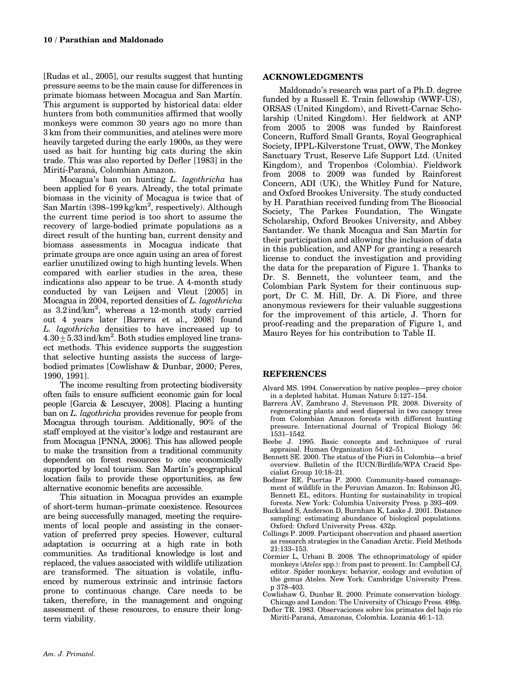[Rudas et al., 2005], our results suggest that hunting pressure seems to be the main cause for differences in primate biomass between Mocagua and San Martín. This argument is supported by historical data: elder hunters from both communities affirmed that woolly monkeys were common 30 years ago no more than 3 km from their communities, and atelines were more heavily targeted during the early 1900s, as they were used as bait for hunting big cats during the skin trade. This was also reported by Defler [1983] in the Mirití-Paraná, Colombian Amazon.

Mocagua's ban on hunting L. lagothricha has been applied for 6 years. Already, the total primate biomass in the vicinity of Mocagua is twice that of San Martín (398–199 kg/km<sup>2</sup>, respectively). Although the current time period is too short to assume the recovery of large-bodied primate populations as a direct result of the hunting ban, current density and biomass assessments in Mocagua indicate that primate groups are once again using an area of forest earlier unutilized owing to high hunting levels. When compared with earlier studies in the area, these indications also appear to be true. A 4-month study conducted by van Leijsen and Vleut [2005] in Mocagua in 2004, reported densities of L. lagothricha as  $3.2 \text{ ind/km}^2$ , whereas a 12-month study carried out 4 years later [Barrera et al., 2008] found L. lagothricha densities to have increased up to  $4.30\pm5.33$  ind/km<sup>2</sup>. Both studies employed line transect methods. This evidence supports the suggestion that selective hunting assists the success of largebodied primates [Cowlishaw & Dunbar, 2000; Peres, 1990, 1991].

The income resulting from protecting biodiversity often fails to ensure sufficient economic gain for local people [Garcia & Lescuyer, 2008]. Placing a hunting ban on L. lagothricha provides revenue for people from Mocagua through tourism. Additionally, 90% of the staff employed at the visitor's lodge and restaurant are from Mocagua [PNNA, 2006]. This has allowed people to make the transition from a traditional community dependent on forest resources to one economically supported by local tourism. San Martín's geographical location fails to provide these opportunities, as few alternative economic benefits are accessible.

This situation in Mocagua provides an example of short-term human–primate coexistence. Resources are being successfully managed, meeting the requirements of local people and assisting in the conservation of preferred prey species. However, cultural adaptation is occurring at a high rate in both communities. As traditional knowledge is lost and replaced, the values associated with wildlife utilization are transformed. The situation is volatile, influenced by numerous extrinsic and intrinsic factors prone to continuous change. Care needs to be taken, therefore, in the management and ongoing assessment of these resources, to ensure their longterm viability.

#### ACKNOWLEDGMENTS

Maldonado's research was part of a Ph.D. degree funded by a Russell E. Train fellowship (WWF-US), ORSAS (United Kingdom), and Rivett-Carnac Scholarship (United Kingdom). Her fieldwork at ANP from 2005 to 2008 was funded by Rainforest Concern, Rufford Small Grants, Royal Geographical Society, IPPL-Kilverstone Trust, OWW, The Monkey Sanctuary Trust, Reserve Life Support Ltd. (United Kingdom), and Tropenbos (Colombia). Fieldwork from 2008 to 2009 was funded by Rainforest Concern, ADI (UK), the Whitley Fund for Nature, and Oxford Brookes University. The study conducted by H. Parathian received funding from The Biosocial Society, The Parkes Foundation, The Wingate Scholarship, Oxford Brookes University, and Abbey Santander. We thank Mocagua and San Martín for their participation and allowing the inclusion of data in this publication, and ANP for granting a research license to conduct the investigation and providing the data for the preparation of Figure 1. Thanks to Dr. S. Bennett, the volunteer team, and the Colombian Park System for their continuous support, Dr C. M. Hill, Dr. A. Di Fiore, and three anonymous reviewers for their valuable suggestions for the improvement of this article, J. Thorn for proof-reading and the preparation of Figure 1, and Mauro Reyes for his contribution to Table II.

#### REFERENCES

- Alvard MS. 1994. Conservation by native peoples—prey choice in a depleted habitat. Human Nature 5:127–154.
- Barrera AV, Zambrano J, Stevenson PR. 2008. Diversity of regenerating plants and seed dispersal in two canopy trees from Colombian Amazon forests with different hunting pressure. International Journal of Tropical Biology 56: 1531–1542.
- Beebe J. 1995. Basic concepts and techniques of rural appraisal. Human Organization 54:42–51.
- Bennett SE. 2000. The status of the Piuri in Colombia—a brief overview. Bulletin of the IUCN/Birdlife/WPA Cracid Specialist Group 10:18–21.
- Bodmer RE, Puertas P. 2000. Community-based comanagement of wildlife in the Peruvian Amazon. In: Robinson JG, Bennett EL, editors. Hunting for sustainability in tropical forests. New York: Columbia University Press. p 393–409.
- Buckland S, Anderson D, Burnham K, Laake J. 2001. Distance sampling: estimating abundance of biological populations. Oxford: Oxford University Press. 432p.
- Collings P. 2009. Participant observation and phased assertion as research strategies in the Canadian Arctic. Field Methods 21:133–153.
- Cormier L, Urbani B. 2008. The ethnoprimatology of spider monkeys (Ateles spp.): from past to present. In: Campbell CJ, editor. Spider monkeys: behavior, ecology and evolution of the genus Ateles. New York: Cambridge University Press. p 378–403.
- Cowlishaw G, Dunbar R. 2000. Primate conservation biology. Chicago and London: The University of Chicago Press. 498p.
- Defler TR. 1983. Observaciones sobre los primates del bajo río Mirití-Paraná, Amazonas, Colombia. Lozania 46:1-13.